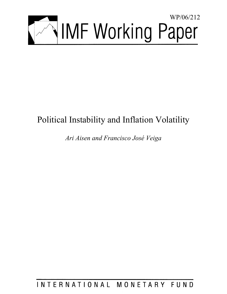

# Political Instability and Inflation Volatility

*Ari Aisen and Francisco José Veiga* 

INTERNATIONAL MONETARY FUND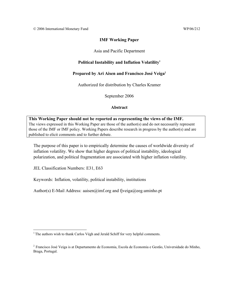## **IMF Working Paper**

## Asia and Pacific Department

# **Political Instability and Inflation Volatility1**

# **Prepared by Ari Aisen and Francisco José Veiga2**

Authorized for distribution by Charles Kramer

September 2006

#### **Abstract**

**This Working Paper should not be reported as representing the views of the IMF.** The views expressed in this Working Paper are those of the author(s) and do not necessarily represent those of the IMF or IMF policy. Working Papers describe research in progress by the author(s) and are published to elicit comments and to further debate.

The purpose of this paper is to empirically determine the causes of worldwide diversity of inflation volatility. We show that higher degrees of political instability, ideological polarization, and political fragmentation are associated with higher inflation volatility.

JEL Classification Numbers: E31, E63

Keywords: Inflation, volatility, political instability, institutions

Author(s) E-Mail Address: aaisen@imf.org and fjveiga@eeg.uminho.pt

<sup>1</sup>  $<sup>1</sup>$  The authors wish to thank Carlos Végh and Jerald Schiff for very helpful comments.</sup>

<sup>2</sup> Francisco José Veiga is at Departamento de Economia, Escola de Economia e Gestão, Universidade do Minho, Braga, Portugal.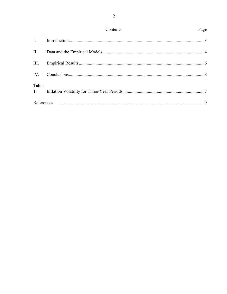|             | Contents | Page |
|-------------|----------|------|
| I.          |          |      |
| Π.          |          |      |
| III.        |          |      |
| IV.         |          |      |
| Table<br>1. |          |      |
| References  |          |      |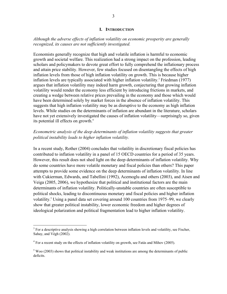#### **I. INTRODUCTION**

#### *Although the adverse effects of inflation volatility on economic prosperity are generally recognized, its causes are not sufficiently investigated.*

Economists generally recognize that high and volatile inflation is harmful to economic growth and societal welfare. This realization had a strong impact on the profession, leading scholars and policymakers to devote great effort to fully comprehend the inflationary process and attain price stability. However, few studies focused on disentangling the effects of high inflation levels from those of high inflation volatility on growth. This is because higher inflation levels are typically associated with higher inflation volatility.<sup>3</sup> Friedman  $(1977)$ argues that inflation volatility may indeed harm growth, conjecturing that growing inflation volatility would render the economy less efficient by introducing frictions in markets, and creating a wedge between relative prices prevailing in the economy and those which would have been determined solely by market forces in the absence of inflation volatility. This suggests that high inflation volatility may be as disruptive to the economy as high inflation levels. While studies on the determinants of inflation are abundant in the literature, scholars have not yet extensively investigated the causes of inflation volatility—surprisingly so, given its potential ill effects on growth.<sup>4</sup>

## *Econometric analysis of the deep determinants of inflation volatility suggests that greater political instability leads to higher inflation volatility.*

In a recent study, Rother (2004) concludes that volatility in discretionary fiscal policies has contributed to inflation volatility in a panel of 15 OECD countries for a period of 35 years. However, this result does not shed light on the deep determinants of inflation volatility. Why do some countries have more volatile monetary and fiscal policies than others? This paper attempts to provide some evidence on the deep determinants of inflation volatility. In line with Cukierman, Edwards, and Tabellini (1992), Acemoglu and others (2003), and Aisen and Veiga (2005, 2006), we hypothesize that political and institutional factors are the main determinants of inflation volatility. Politically-unstable countries are often susceptible to political shocks, leading to discontinuous monetary and fiscal policies and higher inflation volatility.<sup>5</sup> Using a panel data set covering around 100 countries from 1975–99, we clearly show that greater political instability, lower economic freedom and higher degrees of ideological polarization and political fragmentation lead to higher inflation volatility.

<sup>&</sup>lt;sup>3</sup> For a descriptive analysis showing a high correlation between inflation levels and volatility, see Fischer, Sahay, and Végh (2002).

 $4$  For a recent study on the effects of inflation volatility on growth, see Fatás and Mihov (2005).

 $<sup>5</sup>$  Woo (2003) shows that political instability and weak institutions are among the determinants of public</sup> deficits.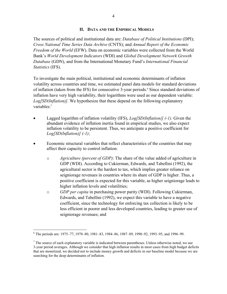#### **II. DATA AND THE EMPIRICAL MODELS**

The sources of political and institutional data are: *Database of Political Institutions* (DPI); *Cross National Time Series Data Archive* (CNTS); and *Annual Report of the Economic Freedom of the World* (EFW). Data on economic variables were collected from the World Bank's *World Development Indicators* (WDI) and *Global Development Network Growth Database* (GDN), and from the International Monetary Fund's *International Financial Statistics* (IFS).

To investigate the main political, institutional and economic determinants of inflation volatility across countries and time, we estimated panel data models for standard deviations of inflation (taken from the IFS) for consecutive 3-year periods.<sup>6</sup> Since standard deviations of inflation have very high variability, their logarithms were used as our dependent variable: *Log[SD(Inflation)].* We hypothesize that these depend on the following explanatory variables:<sup>7</sup>

- Lagged logarithm of inflation volatility (IFS), *Log[SD(Inflation)]* (-1). Given the abundant evidence of inflation inertia found in empirical studies, we also expect inflation volatility to be persistent. Thus, we anticipate a positive coefficient for *Log[SD(Inflation)] (-1)*;
- Economic structural variables that reflect characteristics of the countries that may affect their capacity to control inflation:
	- o *Agriculture (percent of GDP)*: The share of the value added of agriculture in GDP (WDI). According to Cukierman, Edwards, and Tabellini (1992), the agricultural sector is the hardest to tax, which implies greater reliance on seigniorage revenues in countries where its share of GDP is higher. Thus, a positive coefficient is expected for this variable, as higher seigniorage leads to higher inflation levels and volatilities;
	- o *GDP per capita* in purchasing power parity (WDI). Following Cukierman, Edwards, and Tabellini (1992), we expect this variable to have a negative coefficient, since the technology for enforcing tax collection is likely to be less efficient in poorer and less developed countries, leading to greater use of seigniorage revenues; and

 $\overline{a}$ 6 The periods are: 1975–77, 1978–80, 1981–83, 1984–86, 1987–89, 1990–92, 1993–95, and 1996–99.

 $<sup>7</sup>$  The source of each explanatory variable is indicated between parentheses. Unless otherwise noted, we use</sup> 3-year period averages. Although we consider that high inflation results in most cases from high budget deficits that are monetized, we decided not to include money growth and deficits in our baseline model because we are searching for the deep determinants of inflation.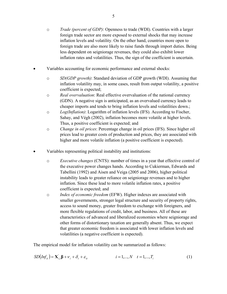- o *Trade (percent of GDP)*: Openness to trade (WDI). Countries with a larger foreign trade sector are more exposed to external shocks that may increase inflation levels and volatility. On the other hand, countries more open to foreign trade are also more likely to raise funds through import duties. Being less dependent on seigniorage revenues, they could also exhibit lower inflation rates and volatilities. Thus, the sign of the coefficient is uncertain.
- Variables accounting for economic performance and external shocks:
	- o *SD(GDP growth)*: Standard deviation of GDP growth (WDI). Assuming that inflation volatility may, in some cases, result from output volatility, a positive coefficient is expected;
	- o *Real overvaluation*: Real effective overvaluation of the national currency (GDN). A negative sign is anticipated, as an overvalued currency leads to cheaper imports and tends to bring inflation levels and volatilities down.;
	- o *Log(Inflation)*: Logarithm of inflation levels (IFS). According to Fischer, Sahay, and Végh (2002), inflation becomes more volatile at higher levels. Thus, a positive coefficient is expected; and
	- o *Change in oil prices*: Percentage change in oil prices (IFS). Since higher oil prices lead to greater costs of production and prices, they are associated with higher and more volatile inflation (a positive coefficient is expected).
- Variables representing political instability and institutions:
	- o *Executive changes* (CNTS): number of times in a year that effective control of the executive power changes hands. According to Cukierman, Edwards and Tabellini (1992) and Aisen and Veiga (2005 and 2006), higher political instability leads to greater reliance on seigniorage revenues and to higher inflation. Since these lead to more volatile inflation rates, a positive coefficient is expected; and
	- o *Index of economic freedom* (EFW). Higher indexes are associated with smaller governments, stronger legal structure and security of property rights, access to sound money, greater freedom to exchange with foreigners, and more flexible regulations of credit, labor, and business. All of these are characteristics of advanced and liberalized economies where seigniorage and other forms of distortionary taxation are generally absent. Thus, we expect that greater economic freedom is associated with lower inflation levels and volatilities (a negative coefficient is expected).

The empirical model for inflation volatility can be summarized as follows:

$$
SD(Infit) = \mathbf{X}'i,t \mathbf{\beta} + \mathbf{\nu}_i + \mathbf{\delta}_t + \mathbf{\varepsilon}_{it} \qquad i = 1,..., N \quad t = 1,..., T_i \qquad (1)
$$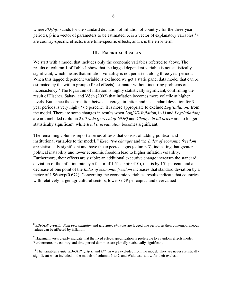where *SD(Inf)* stands for the standard deviation of inflation of country *i* for the three-year period *t*, β is a vector of parameters to be estimated, X is a vector of explanatory variables,<sup>8</sup> ν are country-specific effects, δ are time-specific effects, and, ε is the error term.

#### **III. EMPIRICAL RESULTS**

We start with a model that includes only the economic variables referred to above. The results of column 1 of Table 1 show that the lagged dependent variable is not statistically significant, which means that inflation volatility is not persistent along three-year periods. When this lagged dependent variable is excluded we get a static panel data model that can be estimated by the within groups (fixed effects) estimator without incurring problems of inconsistency.<sup>9</sup> The logarithm of inflation is highly statistically significant, confirming the result of Fischer, Sahay, and Végh (2002) that inflation becomes more volatile at higher levels. But, since the correlation between average inflation and its standard deviation for 3 year periods is very high (77.5 percent), it is more appropriate to exclude *Log(Inflation)* from the model. There are some changes in results when *Log[SD(Inflation)](-1)* and *Log(Inflation)* are not included (column 2): *Trade (percent of GDP)* and *Change in oil prices* are no longer statistically significant, while *Real overvaluation* becomes significant.

The remaining columns report a series of tests that consist of adding political and institutional variables to the model.10 *Executive changes* and the *Index of economic freedom*  are statistically significant and have the expected signs (column 3), indicating that greater political instability and lower economic freedom lead to higher inflation volatility. Furthermore, their effects are sizable: an additional executive change increases the standard deviation of the inflation rate by a factor of  $1.51 \approx exp(0.410)$ , that is by 151 percent; and a decrease of one point of the *Index of economic freedom* increases that standard deviation by a factor of 1.96≈exp(0.672). Concerning the economic variables, results indicate that countries with relatively larger agricultural sectors, lower GDP per capita, and overvalued

 $\overline{a}$ 

<sup>8</sup> *SD(GDP growth)*, *Real overvaluation* and *Executive changes* are lagged one period, as their contemporaneous values can be affected by inflation.

 $9$  Hausmann tests clearly indicate that the fixed effects specification is preferable to a random effects model. Furthermore, the country and time-period dummies are globally statistically significant.

<sup>&</sup>lt;sup>10</sup> The variables *Trade, SD(GDP\_gr)(-1)* and *Oil\_ch* were excluded from the model. They are never statistically significant when included in the models of columns 3 to 7, and Wald tests allow for their exclusion.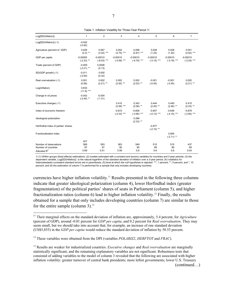| Log[SD(Inflation)]                    | $\mathbf{1}$               | 2                           | 3                           | 4                           | 5                           | 6                           | $\overline{7}$              |
|---------------------------------------|----------------------------|-----------------------------|-----------------------------|-----------------------------|-----------------------------|-----------------------------|-----------------------------|
| Log[SD(Inflation)] (-1)               | $-0.042$<br>$(-0.92)$      |                             |                             |                             |                             |                             |                             |
| Agriculture (percent of GDP)          | 0.029<br>$(2.2)$ **        | 0.067<br>$(3.42)$ ***       | 0.054<br>$(2.75)$ ***       | 0.058<br>$(2.81)$ ***       | 0.028<br>(1.24)             | 0.028<br>(1.24)             | 0.051<br>$(2.62)$ ***       |
| GDP per capita                        | $-0.00005$<br>$(-2.33)$ ** | $-0.00010$<br>$(-8.03)$ *** | $-0.00010$<br>$(-4.59)$ *** | $-0.00010$<br>$(-4.79)$ *** | $-0.00010$<br>$(-3.15)$ *** | $-0.00010$<br>$(-3.18)$ *** | $-0.00010$<br>$(-3.24)$ *** |
| Trade (percent of GDP)                | $-0.009$<br>$(-2.21)$ **   | 0.0006<br>(0.13)            |                             |                             |                             |                             |                             |
| SD(GDP growth) (-1)                   | $-0.011$<br>$(-0.94)$      | 0.005<br>(0.32)             |                             |                             |                             |                             |                             |
| Real overvaluation (-1)               | 0.001<br>(0.56)            | 0.002<br>$(2.21)$ **        | 0.002<br>$(2.00)$ **        | 0.002<br>$(2.03)$ **        | $-0.001$<br>$(-0.45)$       | $-0.001$<br>$(-0.45)$       | 0.002<br>$(2.21)$ **        |
| Log(Inflation)                        | 0.833<br>$(11.8)$ ***      |                             |                             |                             |                             |                             |                             |
| Change in oil prices                  | $-0.042$<br>$(-2.40)$ **   | $-0.004$<br>$(-1.31)$       |                             |                             |                             |                             |                             |
| Executive changes (-1)                |                            |                             | 0.410<br>$(2.59)$ ***       | 0.343<br>$(2.06)$ **        | 0.444<br>$(2.45)$ **        | 0.445<br>$(2.46)$ **        | 0.415<br>$(2.23)$ **        |
| Index of economic freedom             |                            |                             | $-0.672$<br>$(-4.33)$ ***   | $-0.606$<br>$(-3.90)$ ***   | $-0.647$<br>$(-4.13)$ ***   | $-0.649$<br>$(-4.15)$ ***   | $-0.679$<br>$(-3.94)$ ***   |
| Ideological polarization              |                            |                             |                             | 0.286<br>$(2.33)$ **        |                             |                             |                             |
| Herfindhal index of parties' shares   |                            |                             |                             |                             | $-0.877$<br>$(-2.10)$ **    |                             |                             |
| Fractionalization index               |                            |                             |                             |                             |                             | 0.854<br>$(-2.11)$ **       |                             |
|                                       | 427                        |                             |                             |                             |                             |                             |                             |
| Number of observations                | 569                        | 593                         | 563                         | 549                         | 515                         | 515                         | 437                         |
| Number of countries<br>Adiusted $R^2$ | 97<br>0.69                 | 97<br>0.51                  | 90<br>0.58                  | 90<br>0.6                   | 89<br>0.6                   | 89<br>0.6                   | 69<br>0.54                  |
|                                       |                            |                             |                             |                             |                             |                             |                             |

Table 1. Inflation Volatility for Three-Year Period 1/

1/ (1) Within groups (fixed effects) estimations; (2) models estimated with a constant and dummy variables for countries and 3-year periods; (3) the dependent variable, *Log[SD(Inflation)]* , is the natural logarithm of the standard deviation of inflation over a 3-year period; (4) t-statistics for heteroskedastic-consistent standard errors are in parenthesis; (5) level at which the null hypothesis is rejected: \*\*\*, 1 percent; \*\*, 5 percent, and \*, 10 percent; and (6) the estimation of column 7 is performed for a sample that only includes developing countries.

currencies have higher inflation volatility.<sup>11</sup> Results presented in the following three columns indicate that greater ideological polarization (column 4), lower Herfindhal index (greater fragmentation) of the political parties' shares of seats in Parliament (column 5), and higher fractionalization ratios (column 6) lead to higher inflation volatility.<sup>12</sup> Finally, the results obtained for a sample that only includes developing countries (column 7) are similar to those for the entire sample (column 3). $^{13}$ 

 $\overline{a}$ 

<sup>&</sup>lt;sup>11</sup> Their marginal effects on the standard deviation of inflation are, approximately, 5.4 percent, for *Agriculture* (percent of GDP), around -0.01 percent for *GDP per capita*, and 0.2 percent for *Real overvaluation*. They may seem small, but we should take into account that, for example, an increase of one standard deviation (US\$5,855) in the *GDP per capita* would reduce the standard deviation of inflation by 58.55 percent.

<sup>12</sup> These variables were obtained from the DPI (variables *POLARIZ2*, *HERFTOT* and *FRAC*).

<sup>13</sup> Results are weaker for industrialized countries: *Executive changes* and *Real overvaluation* are marginally statistically significant, and the remaining explanatory variables are not significant. Robustness tests that consisted of adding variables to the model of column 3 revealed that the following are associated with higher inflation volatility: greater turnover of central bank presidents; more leftist governments; lower U.S. Treasury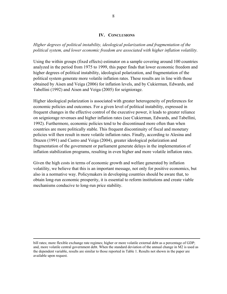#### **IV. CONCLUSIONS**

*Higher degrees of political instability, ideological polarization and fragmentation of the political system, and lower economic freedom are associated with higher inflation volatility.* 

Using the within groups (fixed effects) estimator on a sample covering around 100 countries analyzed in the period from 1975 to 1999, this paper finds that lower economic freedom and higher degrees of political instability, ideological polarization, and fragmentation of the political system generate more volatile inflation rates. These results are in line with those obtained by Aisen and Veiga (2006) for inflation levels, and by Cukierman, Edwards, and Tabellini (1992) and Aisen and Veiga (2005) for seigniorage.

Higher ideological polarization is associated with greater heterogeneity of preferences for economic policies and outcomes. For a given level of political instability, expressed in frequent changes in the effective control of the executive power, it leads to greater reliance on seigniorage revenues and higher inflation rates (see Cukierman, Edwards, and Tabellini, 1992). Furthermore, economic policies tend to be discontinued more often than when countries are more politically stable. This frequent discontinuity of fiscal and monetary policies will then result in more volatile inflation rates. Finally, according to Alesina and Drazen (1991) and Castro and Veiga (2004), greater ideological polarization and fragmentation of the government or parliament generate delays in the implementation of inflation stabilization programs, resulting in even higher and more volatile inflation rates.

Given the high costs in terms of economic growth and welfare generated by inflation volatility, we believe that this is an important message, not only for positive economics, but also in a normative way. Policymakers in developing countries should be aware that, to obtain long-run economic prosperity, it is essential to reform institutions and create viable mechanisms conducive to long-run price stability.

bill rates; more flexible exchange rate regimes; higher or more volatile external debt as a percentage of GDP; and, more volatile central government debt. When the standard deviation of the annual change in M2 is used as the dependent variable, results are similar to those reported in Table 1. Results not shown in the paper are available upon request.